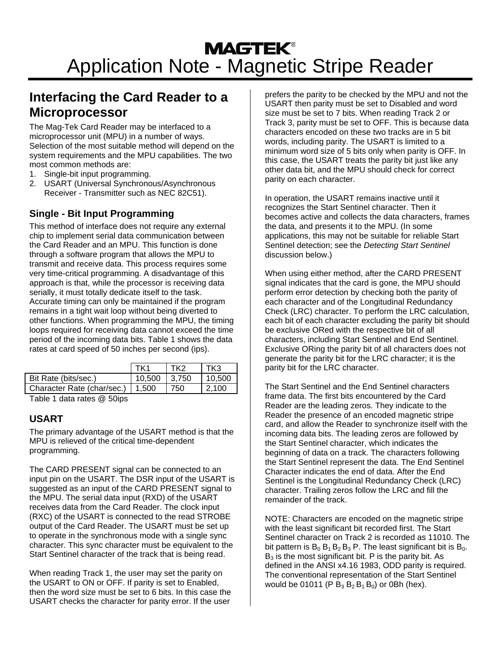# **Interfacing the Card Reader to a Microprocessor**

The Mag-Tek Card Reader may be interfaced to a microprocessor unit (MPU) in a number of ways. Selection of the most suitable method will depend on the system requirements and the MPU capabilities. The two most common methods are:

- 1. Single-bit input programming.
- 2. USART (Universal Synchronous/Asynchronous Receiver - Transmitter such as NEC 82C51).

### **Single - Bit Input Programming**

This method of interface does not require any external chip to implement serial data communication between the Card Reader and an MPU. This function is done through a software program that allows the MPU to transmit and receive data. This process requires some very time-critical programming. A disadvantage of this approach is that, while the processor is receiving data serially, it must totally dedicate itself to the task. Accurate timing can only be maintained if the program remains in a tight wait loop without being diverted to other functions. When programming the MPU, the timing loops required for receiving data cannot exceed the time period of the incoming data bits. Table 1 shows the data rates at card speed of 50 inches per second (ips).

| TK1     | тко   | TK3    |
|---------|-------|--------|
| 10.500  | 3.750 | 10.500 |
| l 1.500 | 750   | 2.100  |
|         |       |        |

Table 1 data rates @ 50ips

#### **USART**

The primary advantage of the USART method is that the MPU is relieved of the critical time-dependent programming.

The CARD PRESENT signal can be connected to an input pin on the USART. The DSR input of the USART is suggested as an input of the CARD PRESENT signal to the MPU. The serial data input (RXD) of the USART receives data from the Card Reader. The clock input (RXC) of the USART is connected to the read STROBE output of the Card Reader. The USART must be set up to operate in the synchronous mode with a single sync character. This sync character must be equivalent to the Start Sentinel character of the track that is being read.

When reading Track 1, the user may set the parity on the USART to ON or OFF. If parity is set to Enabled, then the word size must be set to 6 bits. In this case the USART checks the character for parity error. If the user

prefers the parity to be checked by the MPU and not the USART then parity must be set to Disabled and word size must be set to 7 bits. When reading Track 2 or Track 3, parity must be set to OFF. This is because data characters encoded on these two tracks are in 5 bit words, including parity. The USART is limited to a minimum word size of 5 bits only when parity is OFF. In this case, the USART treats the parity bit just like any other data bit, and the MPU should check for correct parity on each character.

In operation, the USART remains inactive until it recognizes the Start Sentinel character. Then it becomes active and collects the data characters, frames the data, and presents it to the MPU. (In some applications, this may not be suitable for reliable Start Sentinel detection; see the *Detecting Start Sentinel* discussion below.)

When using either method, after the CARD PRESENT signal indicates that the card is gone, the MPU should perform error detection by checking both the parity of each character and of the Longitudinal Redundancy Check (LRC) character. To perform the LRC calculation, each bit of each character excluding the parity bit should be exclusive ORed with the respective bit of all characters, including Start Sentinel and End Sentinel. Exclusive ORing the parity bit of all characters does not generate the parity bit for the LRC character; it is the parity bit for the LRC character.

The Start Sentinel and the End Sentinel characters frame data. The first bits encountered by the Card Reader are the leading zeros. They indicate to the Reader the presence of an encoded magnetic stripe card, and allow the Reader to synchronize itself with the incoming data bits. The leading zeros are followed by the Start Sentinel character, which indicates the beginning of data on a track. The characters following the Start Sentinel represent the data. The End Sentinel Character indicates the end of data. After the End Sentinel is the Longitudinal Redundancy Check (LRC) character. Trailing zeros follow the LRC and fill the remainder of the track.

NOTE: Characters are encoded on the magnetic stripe with the least significant bit recorded first. The Start Sentinel character on Track 2 is recorded as 11010. The bit pattern is  $B_0 B_1 B_2 B_3 P$ . The least significant bit is  $B_0$ .  $B_3$  is the most significant bit. P is the parity bit. As defined in the ANSI x4.16 1983, ODD parity is required. The conventional representation of the Start Sentinel would be 01011 (P  $B_3 B_2 B_1 B_0$ ) or 0Bh (hex).